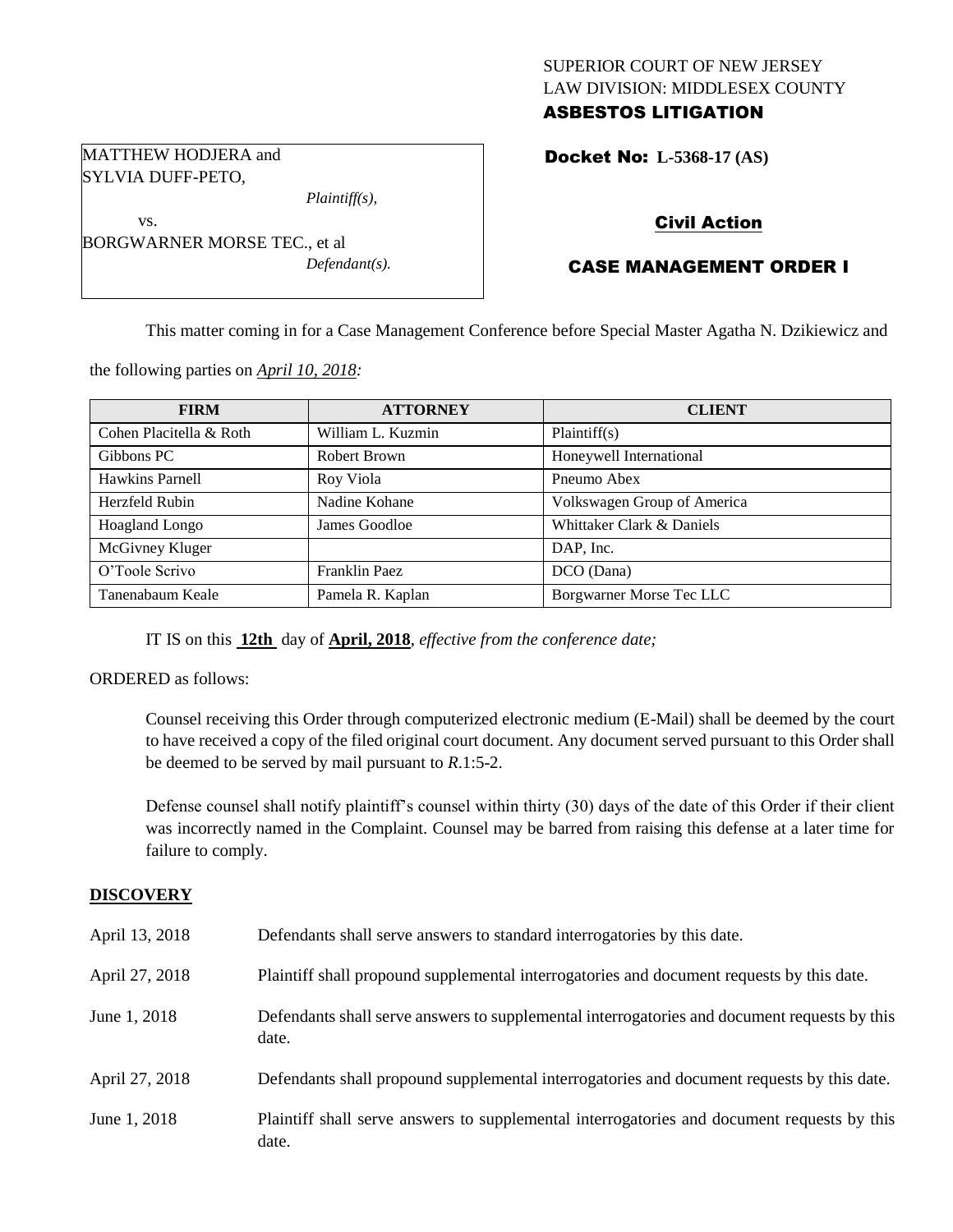## SUPERIOR COURT OF NEW JERSEY LAW DIVISION: MIDDLESEX COUNTY ASBESTOS LITIGATION

Docket No: **L-5368-17 (AS)** 

## Civil Action

## CASE MANAGEMENT ORDER I

This matter coming in for a Case Management Conference before Special Master Agatha N. Dzikiewicz and

the following parties on *April 10, 2018:*

BORGWARNER MORSE TEC., et al

MATTHEW HODJERA and SYLVIA DUFF-PETO,

vs.

| <b>FIRM</b>             | <b>ATTORNEY</b>   | <b>CLIENT</b>               |
|-------------------------|-------------------|-----------------------------|
| Cohen Placitella & Roth | William L. Kuzmin | Plaintiff(s)                |
| Gibbons PC              | Robert Brown      | Honeywell International     |
| Hawkins Parnell         | Roy Viola         | Pneumo Abex                 |
| Herzfeld Rubin          | Nadine Kohane     | Volkswagen Group of America |
| Hoagland Longo          | James Goodloe     | Whittaker Clark & Daniels   |
| McGivney Kluger         |                   | DAP, Inc.                   |
| O'Toole Scrivo          | Franklin Paez     | DCO (Dana)                  |
| Tanenabaum Keale        | Pamela R. Kaplan  | Borgwarner Morse Tec LLC    |

IT IS on this **12th** day of **April, 2018**, *effective from the conference date;*

*Plaintiff(s),*

*Defendant(s).*

ORDERED as follows:

Counsel receiving this Order through computerized electronic medium (E-Mail) shall be deemed by the court to have received a copy of the filed original court document. Any document served pursuant to this Order shall be deemed to be served by mail pursuant to *R*.1:5-2.

Defense counsel shall notify plaintiff's counsel within thirty (30) days of the date of this Order if their client was incorrectly named in the Complaint. Counsel may be barred from raising this defense at a later time for failure to comply.

### **DISCOVERY**

| April 13, 2018 | Defendants shall serve answers to standard interrogatories by this date.                              |
|----------------|-------------------------------------------------------------------------------------------------------|
| April 27, 2018 | Plaintiff shall propound supplemental interrogatories and document requests by this date.             |
| June 1, 2018   | Defendants shall serve answers to supplemental interrogatories and document requests by this<br>date. |
| April 27, 2018 | Defendants shall propound supplemental interrogatories and document requests by this date.            |
| June 1, 2018   | Plaintiff shall serve answers to supplemental interrogatories and document requests by this<br>date.  |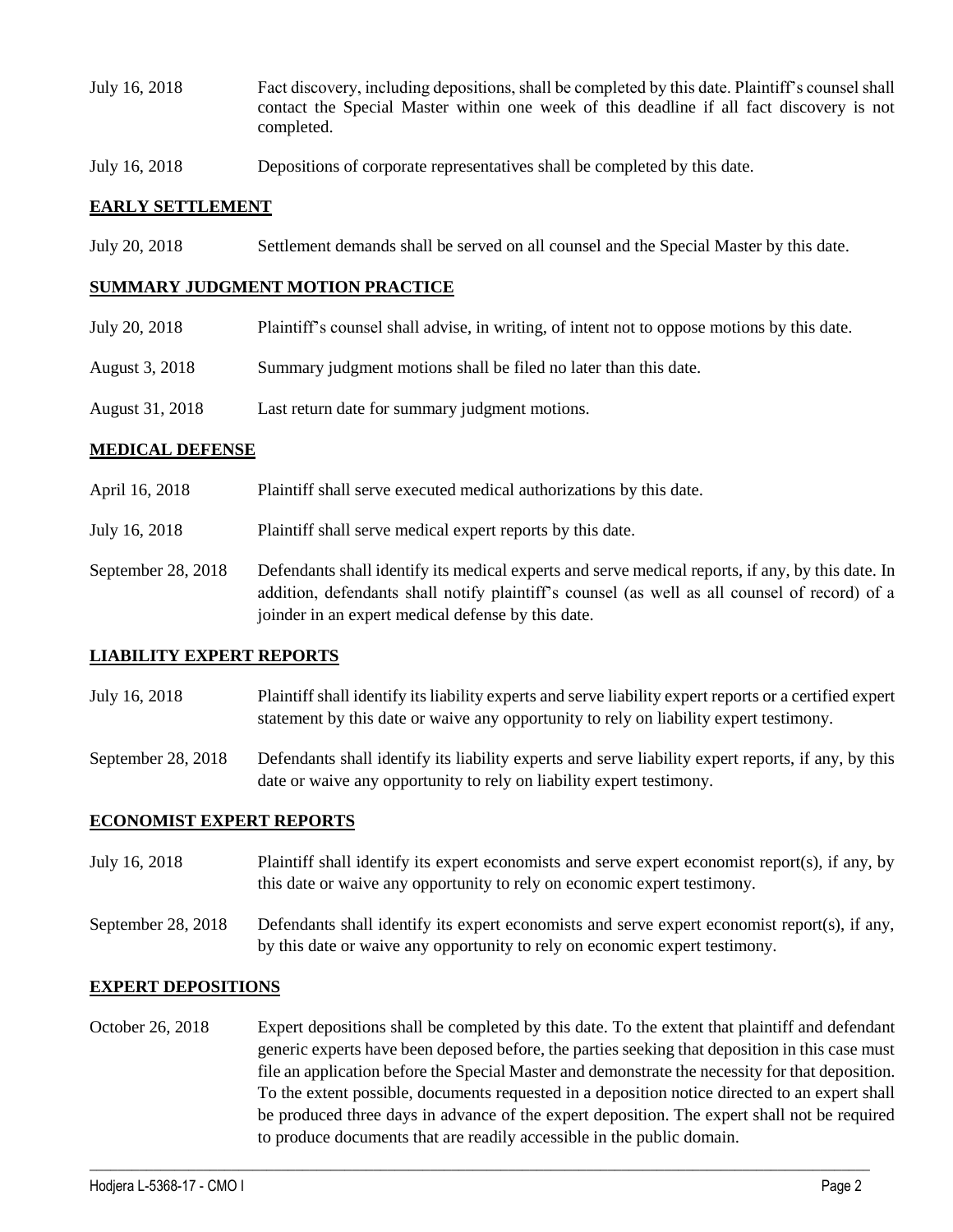- July 16, 2018 Fact discovery, including depositions, shall be completed by this date. Plaintiff's counsel shall contact the Special Master within one week of this deadline if all fact discovery is not completed.
- July 16, 2018 Depositions of corporate representatives shall be completed by this date.

## **EARLY SETTLEMENT**

July 20, 2018 Settlement demands shall be served on all counsel and the Special Master by this date.

#### **SUMMARY JUDGMENT MOTION PRACTICE**

- July 20, 2018 Plaintiff's counsel shall advise, in writing, of intent not to oppose motions by this date.
- August 3, 2018 Summary judgment motions shall be filed no later than this date.
- August 31, 2018 Last return date for summary judgment motions.

### **MEDICAL DEFENSE**

- April 16, 2018 Plaintiff shall serve executed medical authorizations by this date.
- July 16, 2018 Plaintiff shall serve medical expert reports by this date.
- September 28, 2018 Defendants shall identify its medical experts and serve medical reports, if any, by this date. In addition, defendants shall notify plaintiff's counsel (as well as all counsel of record) of a joinder in an expert medical defense by this date.

### **LIABILITY EXPERT REPORTS**

- July 16, 2018 Plaintiff shall identify its liability experts and serve liability expert reports or a certified expert statement by this date or waive any opportunity to rely on liability expert testimony.
- September 28, 2018 Defendants shall identify its liability experts and serve liability expert reports, if any, by this date or waive any opportunity to rely on liability expert testimony.

### **ECONOMIST EXPERT REPORTS**

- July 16, 2018 Plaintiff shall identify its expert economists and serve expert economist report(s), if any, by this date or waive any opportunity to rely on economic expert testimony.
- September 28, 2018 Defendants shall identify its expert economists and serve expert economist report(s), if any, by this date or waive any opportunity to rely on economic expert testimony.

#### **EXPERT DEPOSITIONS**

October 26, 2018 Expert depositions shall be completed by this date. To the extent that plaintiff and defendant generic experts have been deposed before, the parties seeking that deposition in this case must file an application before the Special Master and demonstrate the necessity for that deposition. To the extent possible, documents requested in a deposition notice directed to an expert shall be produced three days in advance of the expert deposition. The expert shall not be required to produce documents that are readily accessible in the public domain.

 $\_$  ,  $\_$  ,  $\_$  ,  $\_$  ,  $\_$  ,  $\_$  ,  $\_$  ,  $\_$  ,  $\_$  ,  $\_$  ,  $\_$  ,  $\_$  ,  $\_$  ,  $\_$  ,  $\_$  ,  $\_$  ,  $\_$  ,  $\_$  ,  $\_$  ,  $\_$  ,  $\_$  ,  $\_$  ,  $\_$  ,  $\_$  ,  $\_$  ,  $\_$  ,  $\_$  ,  $\_$  ,  $\_$  ,  $\_$  ,  $\_$  ,  $\_$  ,  $\_$  ,  $\_$  ,  $\_$  ,  $\_$  ,  $\_$  ,